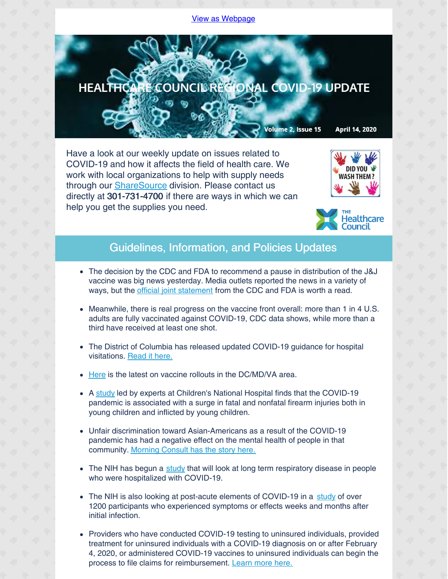## View as [Webpage](http://campaign.r20.constantcontact.com/render?ca=afa2d6bf-0f71-4e15-894d-659e33dd7260&preview=true&m=1135298390468&id=preview)



Have a look at our weekly update on issues related to COVID-19 and how it affects the field of health care. We work with local organizations to help with supply needs through our [ShareSource](https://www.share-source.org/) division. Please contact us directly at 301-731-4700 if there are ways in which we can help you get the supplies you need.





## Guidelines, Information, and Policies Updates

- The decision by the CDC and FDA to recommend a pause in distribution of the J&J vaccine was big news yesterday. Media outlets reported the news in a variety of ways, but the *official joint [statement](https://www.fda.gov/news-events/press-announcements/joint-cdc-and-fda-statement-johnson-johnson-covid-19-vaccine)* from the CDC and FDA is worth a read.
- Meanwhile, there is real progress on the vaccine front overall: more than 1 in 4 U.S. adults are fully vaccinated against COVID-19, CDC data shows, while more than a third have received at least one shot.
- The District of Columbia has released updated COVID-19 quidance for hospital visitations. [Read](https://coronavirus.dc.gov/sites/default/files/dc/sites/coronavirus/page_content/attachments/Guidance_for_Visitors_Hospitals_COVID-19_DC_Health_2021-3-25.pdf) it here.
- [Here](https://www.washingtonpost.com/dc-md-va/2021/01/05/covid-vaccine-dc-virginia-maryland-faq/) is the latest on vaccine rollouts in the DC/MD/VA area.
- A [study](https://innovationdistrict.childrensnational.org/firearm-injuries-involving-young-children-during-the-pandemic/) led by experts at Children's National Hospital finds that the COVID-19 pandemic is associated with a surge in fatal and nonfatal firearm injuries both in young children and inflicted by young children.
- Unfair discrimination toward Asian-Americans as a result of the COVID-19 pandemic has had a negative effect on the mental health of people in that community. [Morning](https://morningconsult.com/2021/04/08/asian-americans-mental-health-racism-violence-poll/?utm_source=newsletter&utm_medium=email_newsletter&utm_campaign=feature_story&utm_content=Galvin_Health_1_040821&mkt_tok=ODUwLVRBQS01MTEAAAF8UHa1UZajecBILGT9CfE21aAq10NZy6jPJaJIdSxErnsMxmbLt_DOGydeTlCcUKtQkkJI1tFwc-S0_bXahgMtz3G2-R6LyWYNpj5E6S4CcouK) Consult has the story here.
- The NIH has begun a [study](https://www.nih.gov/news-events/news-releases/nih-trial-anti-cd14-antibody-treat-covid-19-respiratory-disease-begins) that will look at long term respiratory disease in people who were hospitalized with COVID-19.
- The NIH is also looking at post-acute elements of COVID-19 in a [study](https://www.nih.gov/news-events/news-releases/nih-experts-discuss-post-acute-covid-19) of over 1200 participants who experienced symptoms or effects weeks and months after initial infection.
- Providers who have conducted COVID-19 testing to uninsured individuals, provided treatment for uninsured individuals with a COVID-19 diagnosis on or after February 4, 2020, or administered COVID-19 vaccines to uninsured individuals can begin the process to file claims for reimbursement. [Learn](https://www.hrsa.gov/coviduninsuredclaim) more here.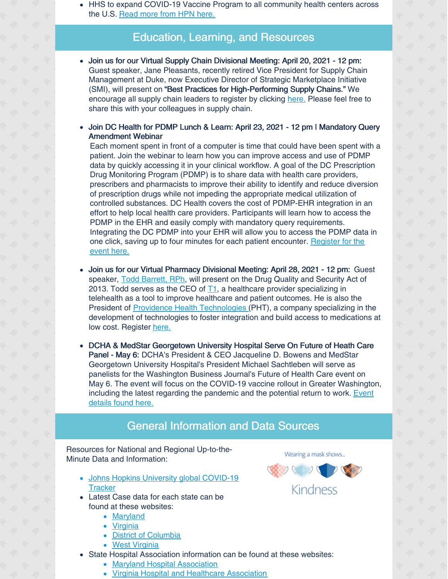HHS to expand COVID-19 Vaccine Program to all community health centers across the U.S. [Read](https://www.hpnonline.com/infection-prevention/crisis-planning-outbreak-response/article/21218133/hhs-to-expand-covid19-vaccine-program-to-all-community-health-centers-across-us?utm_source=HPN+Daily+Newsletter&utm_medium=email&utm_campaign=CPS210409076&o_eid=8887J6354667A2S&rdx.ident=%5Bobject+Object%5D&oly_enc_id=8887J6354667A2S) more from HPN here.

## Education, Learning, and Resources

- Join us for our Virtual Supply Chain Divisional Meeting: April 20, 2021 12 pm: Guest speaker, Jane Pleasants, recently retired Vice President for Supply Chain Management at Duke, now Executive Director of Strategic Marketplace Initiative (SMI), will present on "Best Practices for High-Performing Supply Chains." We encourage all supply chain leaders to register by clicking [here.](https://us02web.zoom.us/meeting/register/tZUkfuytrzkqHNwDfNBFCuSKu2S_C6byKOT9) Please feel free to share this with your colleagues in supply chain.
- Join DC Health for PDMP Lunch & Learn: April 23, 2021 12 pm | Mandatory Query Amendment Webinar

Each moment spent in front of a computer is time that could have been spent with a patient. Join the webinar to learn how you can improve access and use of PDMP data by quickly accessing it in your clinical workflow. A goal of the DC Prescription Drug Monitoring Program (PDMP) is to share data with health care providers, prescribers and pharmacists to improve their ability to identify and reduce diversion of prescription drugs while not impeding the appropriate medical utilization of controlled substances. DC Health covers the cost of PDMP-EHR integration in an effort to help local health care providers. Participants will learn how to access the PDMP in the EHR and easily comply with mandatory query requirements. Integrating the DC PDMP into your EHR will allow you to access the PDMP data in one click, saving up to four minutes for each patient [encounter.](https://dcnet.webex.com/webappng/sites/dcnet/meeting/info/60593ac6d7b24e14a5302103bfd4d3cd?isPopupRegisterView=true) Register for the event here.

- Join us for our Virtual Pharmacy Divisional Meeting: April 28, 2021 12 pm: Guest speaker, Todd [Barrett,](mailto:todd.barrett@phthealth.com) RPh, will present on the Drug Quality and Security Act of 2013. Todd serves as the CEO of  $T1$ , a healthcare provider specializing in telehealth as a tool to improve healthcare and patient outcomes. He is also the President of **Providence Health [Technologies](https://phthealth.com/)** (PHT), a company specializing in the development of technologies to foster integration and build access to medications at low cost. Register [here.](https://us02web.zoom.us/meeting/register/tZIsceytqD4jG9Vky6bnEAInWch9_pyBZJaK)
- DCHA & MedStar Georgetown University Hospital Serve On Future of Heath Care Panel - May 6: DCHA's President & CEO Jacqueline D. Bowens and MedStar Georgetown University Hospital's President Michael Sachtleben will serve as panelists for the Washington Business Journal's Future of Health Care event on May 6. The event will focus on the COVID-19 vaccine rollout in Greater Washington, including the latest regarding the [pandemic](https://www.bizjournals.com/washington/event/166124/2021/future-of-health-care) and the potential return to work. Event details found here.

## General Information and Data Sources

Resources for National and Regional Up-to-the-Minute Data and Information:

- Johns Hopkins University global [COVID-19](https://gisanddata.maps.arcgis.com/apps/opsdashboard/index.html#/bda7594740fd40299423467b48e9ecf6) **Tracker**
- Latest Case data for each state can be found at these websites:
	- [Maryland](https://coronavirus.maryland.gov)
	- [Virginia](https://www.vdh.virginia.gov/coronavirus/)
	- District of [Columbia](https://coronavirus.dc.gov)
	- West [Virginia](https://dhhr.wv.gov/COVID-19/Pages/default.aspx)
- State Hospital Association information can be found at these websites:
	- Maryland Hospital [Association](https://www.mhaonline.org/resources/coronavirus)
	- Virginia Hospital and Healthcare [Association](https://www.vhha.com/resources/covid-19-resources/)